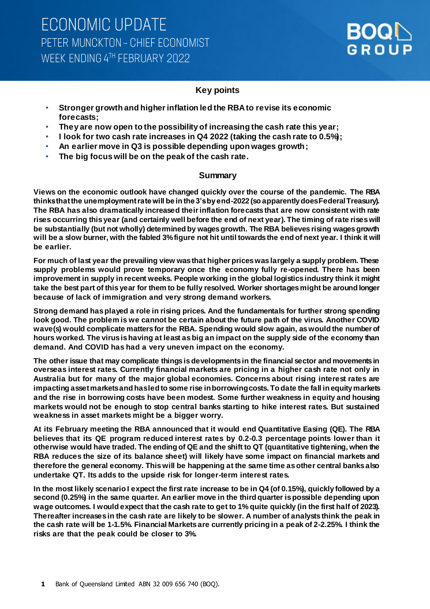### **Key points**

- **Stronger growth and higher inflation led the RBA to revise its economic forecasts;**
- **They are now open to the possibility of increasing the cash rate this year;**
- **I look for two cash rate increases in Q4 2022 (taking the cash rate to 0.5%);**
- **An earlier move in Q3 is possible depending upon wages growth;**
- **The big focus will be on the peak of the cash rate.**

### **Summary**

**Views on the economic outlook have changed quickly over the course of the pandemic. The RBA thinks that the unemployment rate will be in the 3's by end-2022 (so apparently does Federal Treasury). The RBA has also dramatically increased their inflation forecasts that are now consistent with rate rises occurring this year (and certainly well before the end of next year). The timing of rate rises will be substantially (but not wholly) determined by wages growth. The RBA believes rising wages growth will be a slow burner, with the fabled 3% figure not hit until towards the end of next year. I think it will be earlier.** 

**For much of last year the prevailing view was that higher prices was largely a supply problem. These supply problems would prove temporary once the economy fully re-opened. There has been improvement in supply in recent weeks. People working in the global logistics industry think it might take the best part of this year for them to be fully resolved. Worker shortages might be around longer because of lack of immigration and very strong demand workers.** 

**Strong demand has played a role in rising prices. And the fundamentals for further strong spending look good. The problem is we cannot be certain about the future path of the virus. Another COVID wave(s) would complicate matters for the RBA. Spending would slow again, as would the number of hours worked. The virus is having at least as big an impact on the supply side of the economy than demand. And COVID has had a very uneven impact on the economy.** 

**The other issue that may complicate things is developments in the financial sector and movements in overseas interest rates. Currently financial markets are pricing in a higher cash rate not only in Australia but for many of the major global economies. Concerns about rising interest rates are impacting asset marketsand has led to some rise inborrowing costs. To date the fall in equity markets and the rise in borrowing costs have been modest. Some further weakness in equity and housing markets would not be enough to stop central banks starting to hike interest rates. But sustained weakness in asset markets might be a bigger worry.**

**At its February meeting the RBA announced that it would end Quantitative Easing (QE). The RBA believes that its QE program reduced interest rates by 0.2-0.3 percentage points lower than it otherwise would have traded. The ending of QE and the shift to QT (quantitative tightening, when the RBA reduces the size of its balance sheet) will likely have some impact on financial markets and therefore the general economy. This will be happening at the same time as other central banks also undertake QT. Its adds to the upside risk for longer-term interest rates.** 

**In the most likely scenario I expect the first rate increase to be in Q4 (of 0.15%), quickly followed by a second (0.25%) in the same quarter. An earlier move in the third quarter is possible depending upon wage outcomes. I would expect that the cash rate to get to 1% quite quickly (in the first half of 2023). Thereafter increases in the cash rate are likely to be slower. A number of analysts think the peak in the cash rate will be 1-1.5%. Financial Markets are currently pricing in a peak of 2-2.25%. I think the risks are that the peak could be closer to 3%.**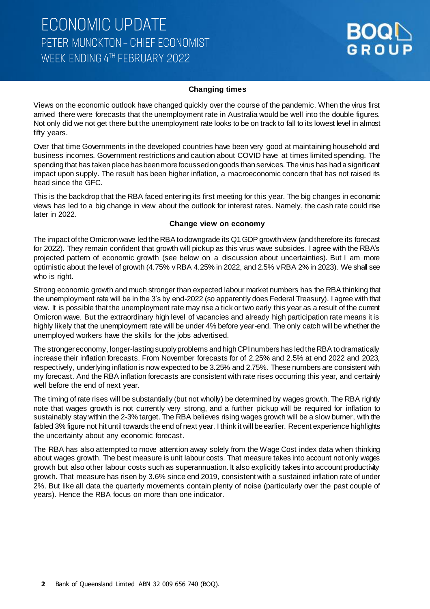#### **Changing times**

Views on the economic outlook have changed quickly over the course of the pandemic. When the virus first arrived there were forecasts that the unemployment rate in Australia would be well into the double figures. Not only did we not get there but the unemployment rate looks to be on track to fall to its lowest level in almost fifty years.

Over that time Governments in the developed countries have been very good at maintaining household and business incomes. Government restrictions and caution about COVID have at times limited spending. The spending that has taken place has been more focussed on goods than services. The virus has had a significant impact upon supply. The result has been higher inflation, a macroeconomic concern that has not raised its head since the GFC.

This is the backdrop that the RBA faced entering its first meeting for this year. The big changes in economic views has led to a big change in view about the outlook for interest rates. Namely, the cash rate could rise later in 2022.

#### **Change view on economy**

The impact of the Omicron wave led the RBA to downgrade its Q1 GDP growth view (and therefore its forecast for 2022). They remain confident that growth will pickup as this virus wave subsides. I agree with the RBA's projected pattern of economic growth (see below on a discussion about uncertainties). But I am more optimistic about the level of growth (4.75% v RBA 4.25% in 2022, and 2.5% v RBA 2% in 2023). We shall see who is right.

Strong economic growth and much stronger than expected labour market numbers has the RBA thinking that the unemployment rate will be in the 3's by end-2022 (so apparently does Federal Treasury). I agree with that view. It is possible that the unemployment rate may rise a tick or two early this year as a result of the current Omicron wave. But the extraordinary high level of vacancies and already high participation rate means it is highly likely that the unemployment rate will be under 4% before year-end. The only catch will be whether the unemployed workers have the skills for the jobs advertised.

The stronger economy, longer-lasting supply problems and high CPI numbers has led the RBA to dramatically increase their inflation forecasts. From November forecasts for of 2.25% and 2.5% at end 2022 and 2023, respectively, underlying inflation is now expected to be 3.25% and 2.75%. These numbers are consistent with my forecast. And the RBA inflation forecasts are consistent with rate rises occurring this year, and certainly well before the end of next year.

The timing of rate rises will be substantially (but not wholly) be determined by wages growth. The RBA rightly note that wages growth is not currently very strong, and a further pickup will be required for inflation to sustainably stay within the 2-3% target. The RBA believes rising wages growth will be a slow burner, with the fabled 3% figure not hit until towards the end of next year. I think it will be earlier. Recent experience highlights the uncertainty about any economic forecast.

The RBA has also attempted to move attention away solely from the Wage Cost index data when thinking about wages growth. The best measure is unit labour costs. That measure takes into account not only wages growth but also other labour costs such as superannuation. It also explicitly takes into account productivity growth. That measure has risen by 3.6% since end 2019, consistent with a sustained inflation rate of under 2%. But like all data the quarterly movements contain plenty of noise (particularly over the past couple of years). Hence the RBA focus on more than one indicator.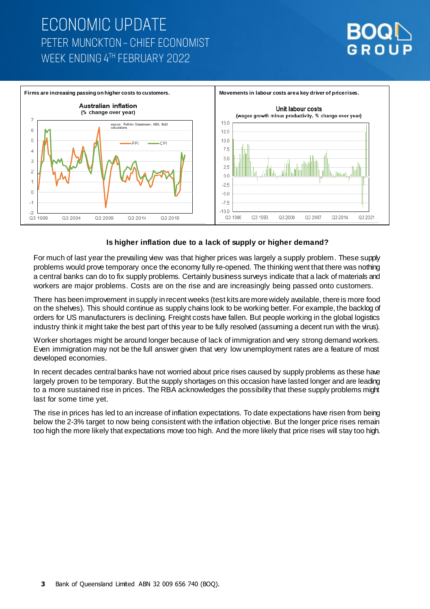### **ECONOMIC UPDATE** PETER MUNCKTON - CHIEF ECONOMIST WFFK FNDING 4TH FFBRUARY 2022





#### **Is higher inflation due to a lack of supply or higher demand?**

For much of last year the prevailing view was that higher prices was largely a supply problem. These supply problems would prove temporary once the economy fully re-opened. The thinking went that there was nothing a central banks can do to fix supply problems. Certainly business surveys indicate that a lack of materials and workers are major problems. Costs are on the rise and are increasingly being passed onto customers.

There has been improvement in supply in recent weeks (test kits are more widely available, there is more food on the shelves). This should continue as supply chains look to be working better. For example, the backlog of orders for US manufacturers is declining. Freight costs have fallen. But people working in the global logistics industry think it might take the best part of this year to be fully resolved (assuming a decent run with the virus).

Worker shortages might be around longer because of lack of immigration and very strong demand workers. Even immigration may not be the full answer given that very low unemployment rates are a feature of most developed economies.

In recent decades central banks have not worried about price rises caused by supply problems as these have largely proven to be temporary. But the supply shortages on this occasion have lasted longer and are leading to a more sustained rise in prices. The RBA acknowledges the possibility that these supply problems might last for some time yet.

The rise in prices has led to an increase of inflation expectations. To date expectations have risen from being below the 2-3% target to now being consistent with the inflation objective. But the longer price rises remain too high the more likely that expectations move too high. And the more likely that price rises will stay too high.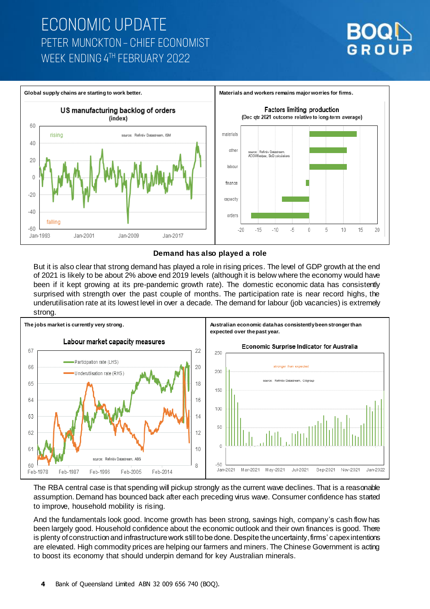# **ECONOMIC UPDATE** PETER MUNCKTON - CHIEF ECONOMIST WEEK ENDING 4TH FEBRUARY 2022



#### **Demand has also played a role**

But it is also clear that strong demand has played a role in rising prices. The level of GDP growth at the end of 2021 is likely to be about 2% above end 2019 levels (although it is below where the economy would have been if it kept growing at its pre-pandemic growth rate). The domestic economic data has consistently surprised with strength over the past couple of months. The participation rate is near record highs, the underutilisation rate at its lowest level in over a decade. The demand for labour (job vacancies) is extremely strong.



The RBA central case is that spending will pickup strongly as the current wave declines. That is a reasonable assumption. Demand has bounced back after each preceding virus wave. Consumer confidence has started to improve, household mobility is rising.

And the fundamentals look good. Income growth has been strong, savings high, company's cash flow has been largely good. Household confidence about the economic outlook and their own finances is good. There is plenty of construction and infrastructure work still to be done. Despite the uncertainty, firms' capex intentions are elevated. High commodity prices are helping our farmers and miners. The Chinese Government is acting to boost its economy that should underpin demand for key Australian minerals.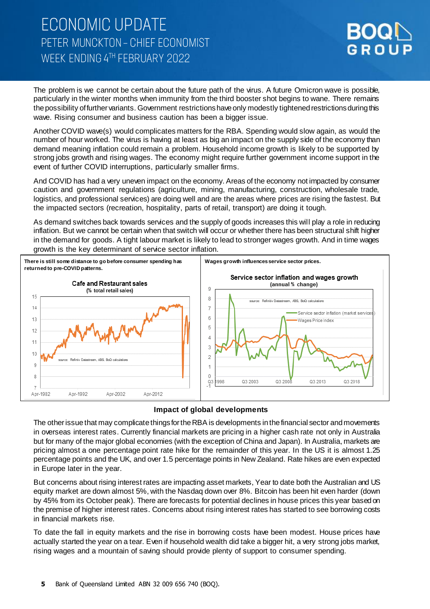### **ECONOMIC UPDATE** PETER MUNCKTON - CHIEF ECONOMIST WFFK FNDING 4TH FFBRUARY 2022



The problem is we cannot be certain about the future path of the virus. A future Omicron wave is possible, particularly in the winter months when immunity from the third booster shot begins to wane. There remains the possibility of further variants. Government restrictions have only modestly tightened restrictions during this wave. Rising consumer and business caution has been a bigger issue.

Another COVID wave(s) would complicates matters for the RBA. Spending would slow again, as would the number of hour worked. The virus is having at least as big an impact on the supply side of the economy than demand meaning inflation could remain a problem. Household income growth is likely to be supported by strong jobs growth and rising wages. The economy might require further government income support in the event of further COVID interruptions, particularly smaller firms.

And COVID has had a very uneven impact on the economy. Areas of the economy not impacted by consumer caution and government regulations (agriculture, mining, manufacturing, construction, wholesale trade, logistics, and professional services) are doing well and are the areas where prices are rising the fastest. But the impacted sectors (recreation, hospitality, parts of retail, transport) are doing it tough.

As demand switches back towards services and the supply of goods increases this will play a role in reducing inflation. But we cannot be certain when that switch will occur or whether there has been structural shift higher in the demand for goods. A tight labour market is likely to lead to stronger wages growth. And in time wages growth is the key determinant of service sector inflation.



#### **Impact of global developments**

The other issue that may complicate things for the RBA is developments in the financial sector and movements in overseas interest rates. Currently financial markets are pricing in a higher cash rate not only in Australia but for many of the major global economies (with the exception of China and Japan). In Australia, markets are pricing almost a one percentage point rate hike for the remainder of this year. In the US it is almost 1.25 percentage points and the UK, and over 1.5 percentage points in New Zealand. Rate hikes are even expected in Europe later in the year.

But concerns about rising interest rates are impacting asset markets, Year to date both the Australian and US equity market are down almost 5%, with the Nasdaq down over 8%. Bitcoin has been hit even harder (down by 45% from its October peak). There are forecasts for potential declines in house prices this year based on the premise of higher interest rates. Concerns about rising interest rates has started to see borrowing costs in financial markets rise.

To date the fall in equity markets and the rise in borrowing costs have been modest. House prices have actually started the year on a tear. Even if household wealth did take a bigger hit, a very strong jobs market, rising wages and a mountain of saving should provide plenty of support to consumer spending.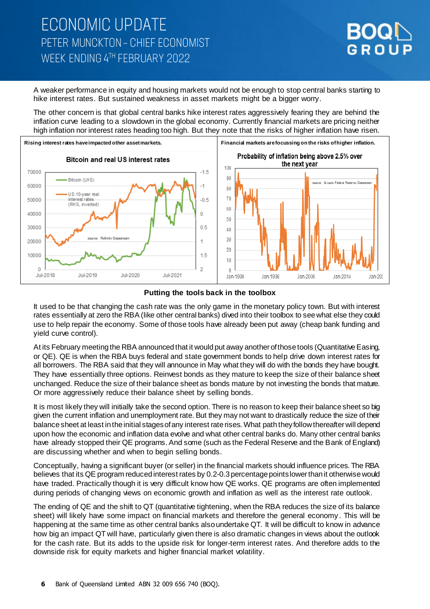### **ECONOMIC UPDATE** PETER MUNCKTON - CHIEF ECONOMIST WFFK FNDING 4TH FFBRUARY 2022



A weaker performance in equity and housing markets would not be enough to stop central banks starting to hike interest rates. But sustained weakness in asset markets might be a bigger worry.

The other concern is that global central banks hike interest rates aggressively fearing they are behind the inflation curve leading to a slowdown in the global economy. Currently financial markets are pricing neither high inflation nor interest rates heading too high. But they note that the risks of higher inflation have risen.



#### **Putting the tools back in the toolbox**

It used to be that changing the cash rate was the only game in the monetary policy town. But with interest rates essentially at zero the RBA (like other central banks) dived into their toolbox to see what else they could use to help repair the economy. Some of those tools have already been put away (cheap bank funding and yield curve control).

At its February meeting the RBA announced that it would put away another of those tools (Quantitative Easing, or QE). QE is when the RBA buys federal and state government bonds to help drive down interest rates for all borrowers. The RBA said that they will announce in May what they will do with the bonds they have bought. They have essentially three options. Reinvest bonds as they mature to keep the size of their balance sheet unchanged. Reduce the size of their balance sheet as bonds mature by not investing the bonds that mature. Or more aggressively reduce their balance sheet by selling bonds.

It is most likely they will initially take the second option. There is no reason to keep their balance sheet so big given the current inflation and unemployment rate. But they may not want to drastically reduce the size of their balance sheet at least in the initial stages of any interest rate rises. What path they follow thereafter will depend upon how the economic and inflation data evolve and what other central banks do. Many other central banks have already stopped their QE programs. And some (such as the Federal Reserve and the Bank of England) are discussing whether and when to begin selling bonds.

Conceptually, having a significant buyer (or seller) in the financial markets should influence prices. The RBA believes that its QE program reduced interest rates by 0.2-0.3 percentage points lower than it otherwise would have traded. Practically though it is very difficult know how QE works. QE programs are often implemented during periods of changing views on economic growth and inflation as well as the interest rate outlook.

The ending of QE and the shift to QT (quantitative tightening, when the RBA reduces the size of its balance sheet) will likely have some impact on financial markets and therefore the general economy . This will be happening at the same time as other central banks also undertake QT. It will be difficult to know in advance how big an impact QT will have, particularly given there is also dramatic changes in views about the outlook for the cash rate. But its adds to the upside risk for longer-term interest rates. And therefore adds to the downside risk for equity markets and higher financial market volatility.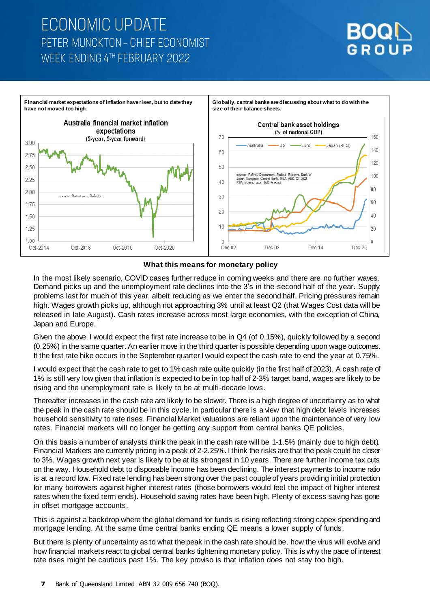### **ECONOMIC UPDATE** PETER MUNCKTON - CHIEF ECONOMIST WEEK ENDING 4TH FEBRUARY 2022



#### **What this means for monetary policy**

In the most likely scenario, COVID cases further reduce in coming weeks and there are no further waves. Demand picks up and the unemployment rate declines into the 3's in the second half of the year. Supply problems last for much of this year, albeit reducing as we enter the second half. Pricing pressures remain high. Wages growth picks up, although not approaching 3% until at least Q2 (that Wages Cost data will be released in late August). Cash rates increase across most large economies, with the exception of China, Japan and Europe.

Given the above I would expect the first rate increase to be in Q4 (of 0.15%), quickly followed by a second (0.25%) in the same quarter. An earlier move in the third quarter is possible depending upon wage outcomes. If the first rate hike occurs in the September quarter I would expect the cash rate to end the year at 0.75%.

I would expect that the cash rate to get to 1% cash rate quite quickly (in the first half of 2023). A cash rate of 1% is still very low given that inflation is expected to be in top half of 2-3% target band, wages are likely to be rising and the unemployment rate is likely to be at multi-decade lows.

Thereafter increases in the cash rate are likely to be slower. There is a high degree of uncertainty as to what the peak in the cash rate should be in this cycle. In particular there is a view that high debt levels increases household sensitivity to rate rises. Financial Market valuations are reliant upon the maintenance of very low rates. Financial markets will no longer be getting any support from central banks QE policies.

On this basis a number of analysts think the peak in the cash rate will be 1-1.5% (mainly due to high debt). Financial Markets are currently pricing in a peak of 2-2.25%. I think the risks are that the peak could be closer to 3%. Wages growth next year is likely to be at its strongest in 10 years. There are further income tax cuts on the way. Household debt to disposable income has been declining. The interest payments to income ratio is at a record low. Fixed rate lending has been strong over the past couple of years providing initial protection for many borrowers against higher interest rates (those borrowers would feel the impact of higher interest rates when the fixed term ends). Household saving rates have been high. Plenty of excess saving has gone in offset mortgage accounts.

This is against a backdrop where the global demand for funds is rising reflecting strong capex spending and mortgage lending. At the same time central banks ending QE means a lower supply of funds.

But there is plenty of uncertainty as to what the peak in the cash rate should be, how the virus will evolve and how financial markets react to global central banks tightening monetary policy. This is why the pace of interest rate rises might be cautious past 1%. The key proviso is that inflation does not stay too high.